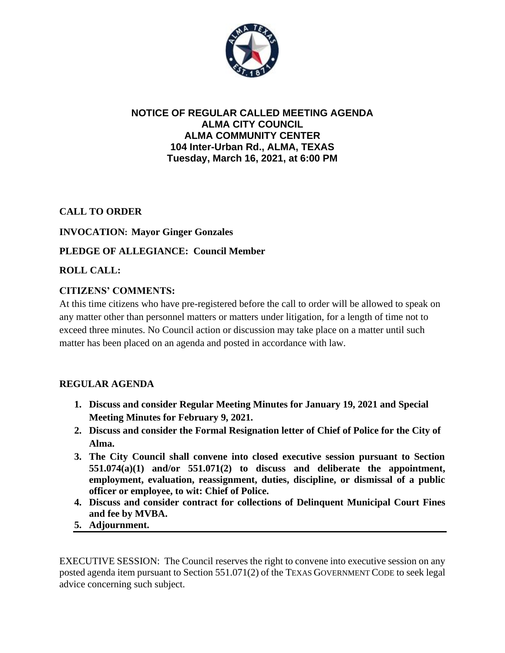

## **NOTICE OF REGULAR CALLED MEETING AGENDA ALMA CITY COUNCIL ALMA COMMUNITY CENTER 104 Inter-Urban Rd., ALMA, TEXAS Tuesday, March 16, 2021, at 6:00 PM**

**CALL TO ORDER**

### **INVOCATION: Mayor Ginger Gonzales**

### **PLEDGE OF ALLEGIANCE: Council Member**

**ROLL CALL:**

### **CITIZENS' COMMENTS:**

At this time citizens who have pre-registered before the call to order will be allowed to speak on any matter other than personnel matters or matters under litigation, for a length of time not to exceed three minutes. No Council action or discussion may take place on a matter until such matter has been placed on an agenda and posted in accordance with law.

#### **REGULAR AGENDA**

- **1. Discuss and consider Regular Meeting Minutes for January 19, 2021 and Special Meeting Minutes for February 9, 2021.**
- **2. Discuss and consider the Formal Resignation letter of Chief of Police for the City of Alma.**
- **3. The City Council shall convene into closed executive session pursuant to Section 551.074(a)(1) and/or 551.071(2) to discuss and deliberate the appointment, employment, evaluation, reassignment, duties, discipline, or dismissal of a public officer or employee, to wit: Chief of Police.**
- **4. Discuss and consider contract for collections of Delinquent Municipal Court Fines and fee by MVBA.**
- **5. Adjournment.**

EXECUTIVE SESSION: The Council reserves the right to convene into executive session on any posted agenda item pursuant to Section 551.071(2) of the TEXAS GOVERNMENT CODE to seek legal advice concerning such subject.